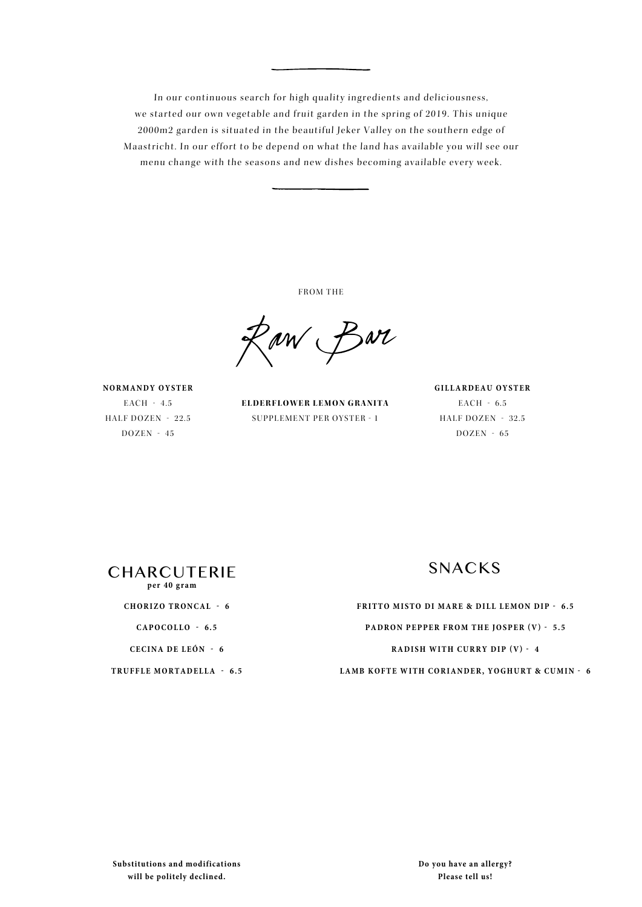In our continuous search for high quality ingredients and deliciousness, we started our own vegetable and fruit garden in the spring of 2019. This unique 2000m2 garden is situated in the beautiful Jeker Valley on the southern edge of Maastricht. In our effort to be depend on what the land has available you will see our menu change with the seasons and new dishes becoming available every week.

FROM THE

Raw Bar

**NORMANDY OYSTER** EACH - 4.5 HALF DOZEN - 22.5  $DOZEN - 45$ 

**ELDERFLOWER LEMON GRANITA** SUPPLEMENT PER OYSTER - 1

**GILLARDEAU OYSTER** EACH - 6.5 HALF DOZEN - 32.5 DOZEN - 65



**CHORIZO TRONCAL - 6**

**CAPOCOLLO - 6.5**

**CECINA DE LEÓN - 6**

**TRUFFLE MORTADELLA - 6.5** 

**FRITTO MISTO DI MARE & DILL LEMON DIP - 6.5 PADRON PEPPER FROM THE JOSPER (V) - 5.5 RADISH WITH CURRY DIP (V) - 4 LAMB KOFTE WITH CORIANDER, YOGHURT & CUMIN - 6**